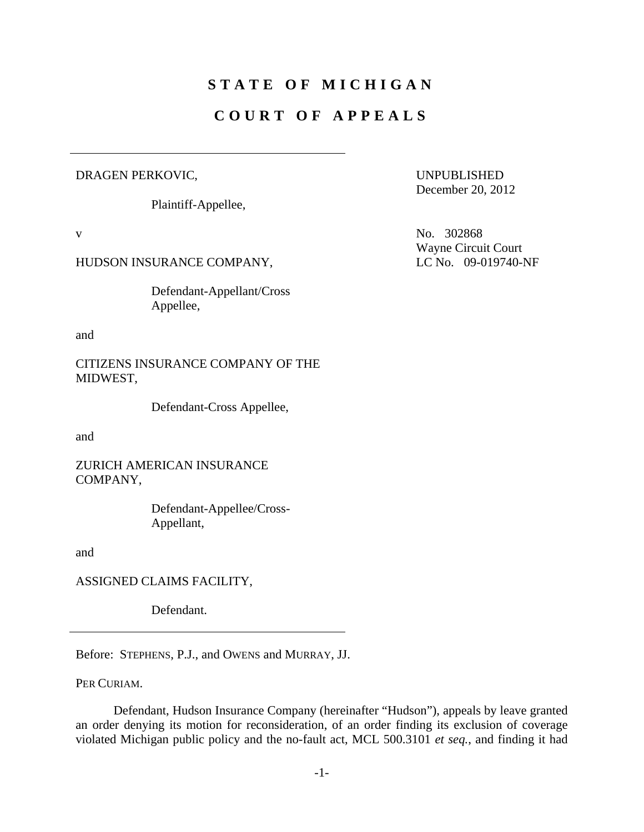## **STATE OF MICHIGAN**

## **COURT OF APPEALS**

## DRAGEN PERKOVIC,

Plaintiff-Appellee,

## HUDSON INSURANCE COMPANY, LC No. 09-019740-NF

 Defendant-Appellant/Cross Appellee,

and

CITIZENS INSURANCE COMPANY OF THE MIDWEST,

Defendant-Cross Appellee,

and

ZURICH AMERICAN INSURANCE COMPANY,

> Defendant-Appellee/Cross-Appellant,

and

ASSIGNED CLAIMS FACILITY,

Defendant.

Before: STEPHENS, P.J., and OWENS and MURRAY, JJ.

PER CURIAM.

 Defendant, Hudson Insurance Company (hereinafter "Hudson"), appeals by leave granted an order denying its motion for reconsideration, of an order finding its exclusion of coverage violated Michigan public policy and the no-fault act, MCL 500.3101 *et seq.*, and finding it had

UNPUBLISHED December 20, 2012

v No. 302868 Wayne Circuit Court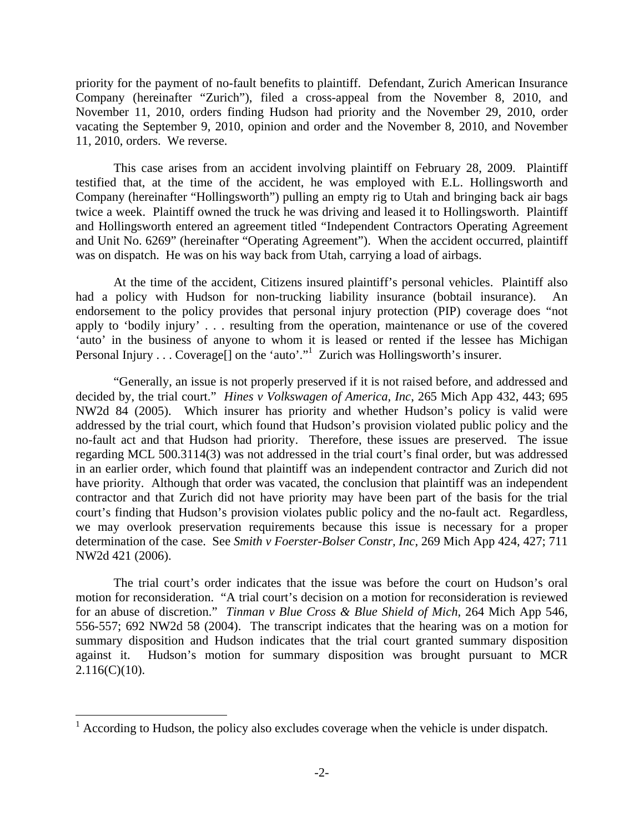priority for the payment of no-fault benefits to plaintiff. Defendant, Zurich American Insurance Company (hereinafter "Zurich"), filed a cross-appeal from the November 8, 2010, and November 11, 2010, orders finding Hudson had priority and the November 29, 2010, order vacating the September 9, 2010, opinion and order and the November 8, 2010, and November 11, 2010, orders. We reverse.

 This case arises from an accident involving plaintiff on February 28, 2009. Plaintiff testified that, at the time of the accident, he was employed with E.L. Hollingsworth and Company (hereinafter "Hollingsworth") pulling an empty rig to Utah and bringing back air bags twice a week. Plaintiff owned the truck he was driving and leased it to Hollingsworth. Plaintiff and Hollingsworth entered an agreement titled "Independent Contractors Operating Agreement and Unit No. 6269" (hereinafter "Operating Agreement"). When the accident occurred, plaintiff was on dispatch. He was on his way back from Utah, carrying a load of airbags.

 At the time of the accident, Citizens insured plaintiff's personal vehicles. Plaintiff also had a policy with Hudson for non-trucking liability insurance (bobtail insurance). An endorsement to the policy provides that personal injury protection (PIP) coverage does "not apply to 'bodily injury' . . . resulting from the operation, maintenance or use of the covered 'auto' in the business of anyone to whom it is leased or rented if the lessee has Michigan Personal Injury . . . Coverage<sup>[]</sup> on the 'auto'."<sup>1</sup> Zurich was Hollingsworth's insurer.

 "Generally, an issue is not properly preserved if it is not raised before, and addressed and decided by, the trial court." *Hines v Volkswagen of America, Inc*, 265 Mich App 432, 443; 695 NW2d 84 (2005). Which insurer has priority and whether Hudson's policy is valid were addressed by the trial court, which found that Hudson's provision violated public policy and the no-fault act and that Hudson had priority. Therefore, these issues are preserved. The issue regarding MCL 500.3114(3) was not addressed in the trial court's final order, but was addressed in an earlier order, which found that plaintiff was an independent contractor and Zurich did not have priority. Although that order was vacated, the conclusion that plaintiff was an independent contractor and that Zurich did not have priority may have been part of the basis for the trial court's finding that Hudson's provision violates public policy and the no-fault act. Regardless, we may overlook preservation requirements because this issue is necessary for a proper determination of the case. See *Smith v Foerster-Bolser Constr, Inc*, 269 Mich App 424, 427; 711 NW2d 421 (2006).

 The trial court's order indicates that the issue was before the court on Hudson's oral motion for reconsideration. "A trial court's decision on a motion for reconsideration is reviewed for an abuse of discretion." *Tinman v Blue Cross & Blue Shield of Mich*, 264 Mich App 546, 556-557; 692 NW2d 58 (2004). The transcript indicates that the hearing was on a motion for summary disposition and Hudson indicates that the trial court granted summary disposition against it. Hudson's motion for summary disposition was brought pursuant to MCR  $2.116(C)(10)$ .

 $\overline{a}$ 

 $1$  According to Hudson, the policy also excludes coverage when the vehicle is under dispatch.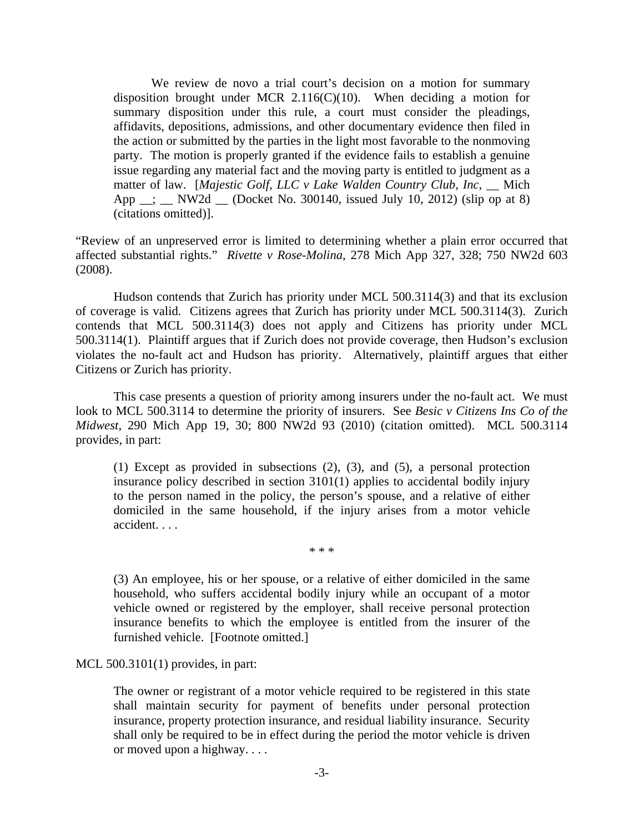We review de novo a trial court's decision on a motion for summary disposition brought under MCR 2.116( $C(10)$ . When deciding a motion for summary disposition under this rule, a court must consider the pleadings, affidavits, depositions, admissions, and other documentary evidence then filed in the action or submitted by the parties in the light most favorable to the nonmoving party. The motion is properly granted if the evidence fails to establish a genuine issue regarding any material fact and the moving party is entitled to judgment as a matter of law. [Majestic Golf, LLC v Lake Walden Country Club, Inc, Mich App  $\therefore$  NW2d  $\therefore$  (Docket No. 300140, issued July 10, 2012) (slip op at 8) (citations omitted)].

"Review of an unpreserved error is limited to determining whether a plain error occurred that affected substantial rights." *Rivette v Rose-Molina*, 278 Mich App 327, 328; 750 NW2d 603 (2008).

 Hudson contends that Zurich has priority under MCL 500.3114(3) and that its exclusion of coverage is valid. Citizens agrees that Zurich has priority under MCL 500.3114(3). Zurich contends that MCL 500.3114(3) does not apply and Citizens has priority under MCL 500.3114(1). Plaintiff argues that if Zurich does not provide coverage, then Hudson's exclusion violates the no-fault act and Hudson has priority. Alternatively, plaintiff argues that either Citizens or Zurich has priority.

 This case presents a question of priority among insurers under the no-fault act. We must look to MCL 500.3114 to determine the priority of insurers. See *Besic v Citizens Ins Co of the Midwest*, 290 Mich App 19, 30; 800 NW2d 93 (2010) (citation omitted). MCL 500.3114 provides, in part:

(1) Except as provided in subsections (2), (3), and (5), a personal protection insurance policy described in section 3101(1) applies to accidental bodily injury to the person named in the policy, the person's spouse, and a relative of either domiciled in the same household, if the injury arises from a motor vehicle accident. . . .

\* \* \*

(3) An employee, his or her spouse, or a relative of either domiciled in the same household, who suffers accidental bodily injury while an occupant of a motor vehicle owned or registered by the employer, shall receive personal protection insurance benefits to which the employee is entitled from the insurer of the furnished vehicle. [Footnote omitted.]

MCL 500.3101(1) provides, in part:

The owner or registrant of a motor vehicle required to be registered in this state shall maintain security for payment of benefits under personal protection insurance, property protection insurance, and residual liability insurance. Security shall only be required to be in effect during the period the motor vehicle is driven or moved upon a highway. . . .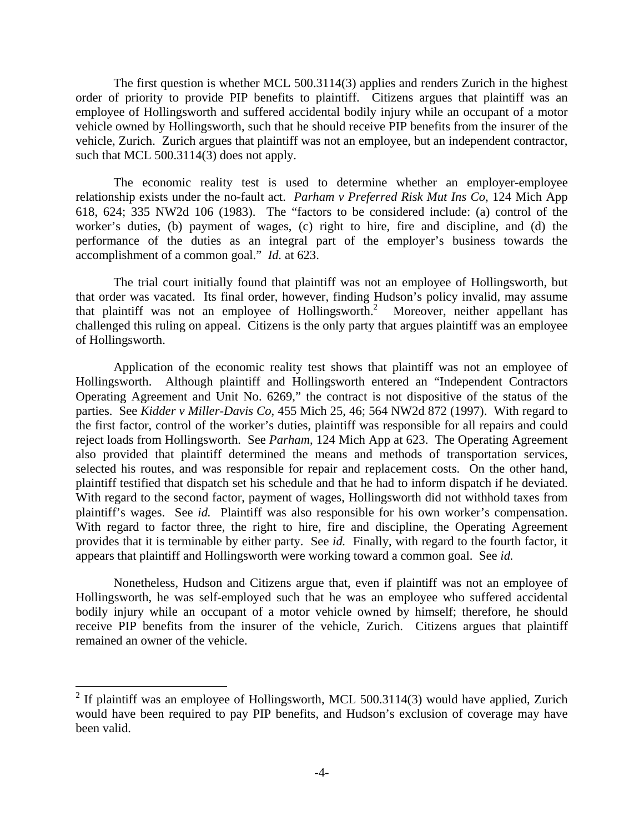The first question is whether MCL 500.3114(3) applies and renders Zurich in the highest order of priority to provide PIP benefits to plaintiff. Citizens argues that plaintiff was an employee of Hollingsworth and suffered accidental bodily injury while an occupant of a motor vehicle owned by Hollingsworth, such that he should receive PIP benefits from the insurer of the vehicle, Zurich. Zurich argues that plaintiff was not an employee, but an independent contractor, such that MCL 500.3114(3) does not apply.

 The economic reality test is used to determine whether an employer-employee relationship exists under the no-fault act. *Parham v Preferred Risk Mut Ins Co*, 124 Mich App 618, 624; 335 NW2d 106 (1983). The "factors to be considered include: (a) control of the worker's duties, (b) payment of wages, (c) right to hire, fire and discipline, and (d) the performance of the duties as an integral part of the employer's business towards the accomplishment of a common goal." *Id.* at 623.

 The trial court initially found that plaintiff was not an employee of Hollingsworth, but that order was vacated. Its final order, however, finding Hudson's policy invalid, may assume that plaintiff was not an employee of Hollingsworth.<sup>2</sup> Moreover, neither appellant has challenged this ruling on appeal. Citizens is the only party that argues plaintiff was an employee of Hollingsworth.

 Application of the economic reality test shows that plaintiff was not an employee of Hollingsworth. Although plaintiff and Hollingsworth entered an "Independent Contractors Operating Agreement and Unit No. 6269," the contract is not dispositive of the status of the parties. See *Kidder v Miller-Davis Co*, 455 Mich 25, 46; 564 NW2d 872 (1997). With regard to the first factor, control of the worker's duties, plaintiff was responsible for all repairs and could reject loads from Hollingsworth. See *Parham*, 124 Mich App at 623. The Operating Agreement also provided that plaintiff determined the means and methods of transportation services, selected his routes, and was responsible for repair and replacement costs. On the other hand, plaintiff testified that dispatch set his schedule and that he had to inform dispatch if he deviated. With regard to the second factor, payment of wages, Hollingsworth did not withhold taxes from plaintiff's wages. See *id.* Plaintiff was also responsible for his own worker's compensation. With regard to factor three, the right to hire, fire and discipline, the Operating Agreement provides that it is terminable by either party. See *id.* Finally, with regard to the fourth factor, it appears that plaintiff and Hollingsworth were working toward a common goal. See *id.*

 Nonetheless, Hudson and Citizens argue that, even if plaintiff was not an employee of Hollingsworth, he was self-employed such that he was an employee who suffered accidental bodily injury while an occupant of a motor vehicle owned by himself; therefore, he should receive PIP benefits from the insurer of the vehicle, Zurich. Citizens argues that plaintiff remained an owner of the vehicle.

<sup>&</sup>lt;sup>2</sup> If plaintiff was an employee of Hollingsworth, MCL 500.3114(3) would have applied, Zurich would have been required to pay PIP benefits, and Hudson's exclusion of coverage may have been valid.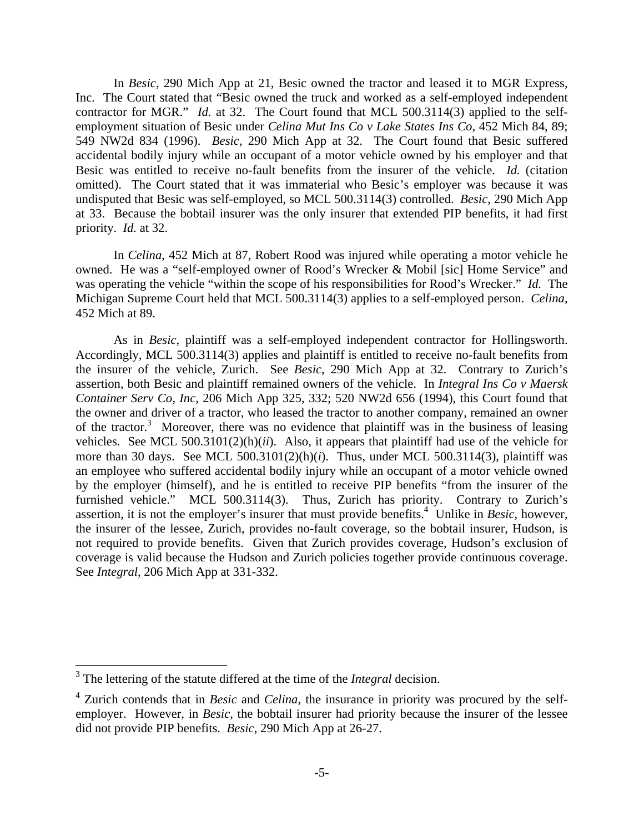In *Besic*, 290 Mich App at 21, Besic owned the tractor and leased it to MGR Express, Inc. The Court stated that "Besic owned the truck and worked as a self-employed independent contractor for MGR." *Id.* at 32. The Court found that MCL 500.3114(3) applied to the selfemployment situation of Besic under *Celina Mut Ins Co v Lake States Ins Co*, 452 Mich 84, 89; 549 NW2d 834 (1996). *Besic*, 290 Mich App at 32. The Court found that Besic suffered accidental bodily injury while an occupant of a motor vehicle owned by his employer and that Besic was entitled to receive no-fault benefits from the insurer of the vehicle. *Id.* (citation omitted). The Court stated that it was immaterial who Besic's employer was because it was undisputed that Besic was self-employed, so MCL 500.3114(3) controlled. *Besic*, 290 Mich App at 33. Because the bobtail insurer was the only insurer that extended PIP benefits, it had first priority. *Id.* at 32.

 In *Celina*, 452 Mich at 87, Robert Rood was injured while operating a motor vehicle he owned. He was a "self-employed owner of Rood's Wrecker & Mobil [sic] Home Service" and was operating the vehicle "within the scope of his responsibilities for Rood's Wrecker." *Id.* The Michigan Supreme Court held that MCL 500.3114(3) applies to a self-employed person. *Celina*, 452 Mich at 89.

 As in *Besic*, plaintiff was a self-employed independent contractor for Hollingsworth. Accordingly, MCL 500.3114(3) applies and plaintiff is entitled to receive no-fault benefits from the insurer of the vehicle, Zurich. See *Besic*, 290 Mich App at 32. Contrary to Zurich's assertion, both Besic and plaintiff remained owners of the vehicle. In *Integral Ins Co v Maersk Container Serv Co, Inc*, 206 Mich App 325, 332; 520 NW2d 656 (1994), this Court found that the owner and driver of a tractor, who leased the tractor to another company, remained an owner of the tractor.<sup>3</sup> Moreover, there was no evidence that plaintiff was in the business of leasing vehicles. See MCL 500.3101(2)(h)(*ii*). Also, it appears that plaintiff had use of the vehicle for more than 30 days. See MCL 500.3101(2)(h)(*i*). Thus, under MCL 500.3114(3), plaintiff was an employee who suffered accidental bodily injury while an occupant of a motor vehicle owned by the employer (himself), and he is entitled to receive PIP benefits "from the insurer of the furnished vehicle." MCL 500.3114(3). Thus, Zurich has priority. Contrary to Zurich's assertion, it is not the employer's insurer that must provide benefits.<sup>4</sup> Unlike in *Besic*, however, the insurer of the lessee, Zurich, provides no-fault coverage, so the bobtail insurer, Hudson, is not required to provide benefits. Given that Zurich provides coverage, Hudson's exclusion of coverage is valid because the Hudson and Zurich policies together provide continuous coverage. See *Integral*, 206 Mich App at 331-332.

1

<sup>&</sup>lt;sup>3</sup> The lettering of the statute differed at the time of the *Integral* decision.

<sup>4</sup> Zurich contends that in *Besic* and *Celina*, the insurance in priority was procured by the selfemployer. However, in *Besic*, the bobtail insurer had priority because the insurer of the lessee did not provide PIP benefits. *Besic*, 290 Mich App at 26-27.